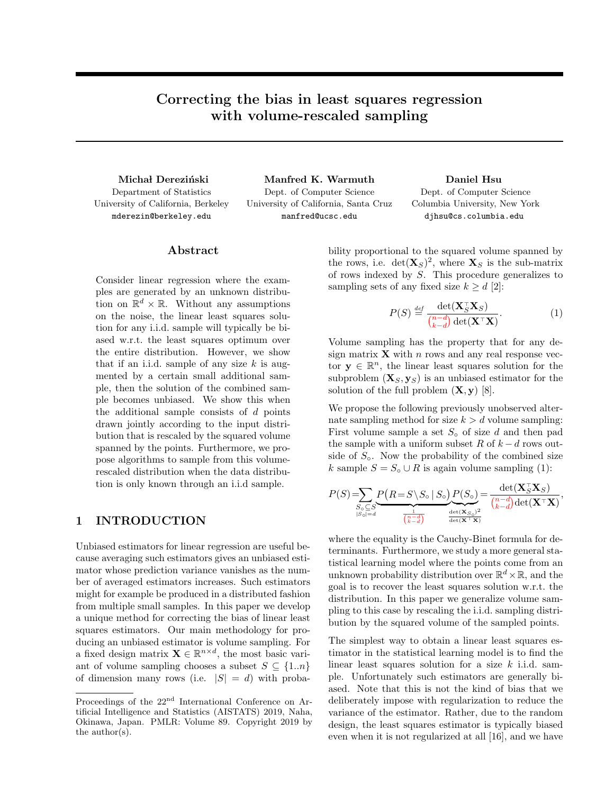# Correcting the bias in least squares regression with volume-rescaled sampling

Department of Statistics University of California, Berkeley mderezin@berkeley.edu

Michał Dereziński Manfred K. Warmuth Daniel Hsu Dept. of Computer Science University of California, Santa Cruz manfred@ucsc.edu

Dept. of Computer Science Columbia University, New York djhsu@cs.columbia.edu

### Abstract

Consider linear regression where the examples are generated by an unknown distribution on  $\mathbb{R}^d \times \mathbb{R}$ . Without any assumptions on the noise, the linear least squares solution for any i.i.d. sample will typically be biased w.r.t. the least squares optimum over the entire distribution. However, we show that if an i.i.d. sample of any size *k* is augmented by a certain small additional sample, then the solution of the combined sample becomes unbiased. We show this when the additional sample consists of *d* points drawn jointly according to the input distribution that is rescaled by the squared volume spanned by the points. Furthermore, we propose algorithms to sample from this volumerescaled distribution when the data distribution is only known through an i.i.d sample.

### 1 INTRODUCTION

Unbiased estimators for linear regression are useful because averaging such estimators gives an unbiased estimator whose prediction variance vanishes as the number of averaged estimators increases. Such estimators might for example be produced in a distributed fashion from multiple small samples. In this paper we develop a unique method for correcting the bias of linear least squares estimators. Our main methodology for producing an unbiased estimator is volume sampling. For a fixed design matrix  $\mathbf{X} \in \mathbb{R}^{n \times d}$ , the most basic variant of volume sampling chooses a subset  $S \subseteq \{1..n\}$ of dimension many rows (i.e.  $|S| = d$ ) with probability proportional to the squared volume spanned by the rows, i.e.  $\det(\mathbf{X}_S)^2$ , where  $\mathbf{X}_S$  is the sub-matrix of rows indexed by *S*. This procedure generalizes to sampling sets of any fixed size  $k \geq d$  [2]:

$$
P(S) \stackrel{\text{def}}{=} \frac{\det(\mathbf{X}_S^{\top} \mathbf{X}_S)}{\binom{n-d}{k-d} \det(\mathbf{X}^{\top} \mathbf{X})}.
$$
 (1)

*<sup>S</sup>*X*S*)

Volume sampling has the property that for any design matrix  $\bf{X}$  with *n* rows and any real response vector  $y \in \mathbb{R}^n$ , the linear least squares solution for the subproblem  $(X_S, y_S)$  is an unbiased estimator for the solution of the full problem  $(\mathbf{X}, \mathbf{y})$  [8].

We propose the following previously unobserved alternate sampling method for size  $k > d$  volume sampling: First volume sample a set  $S_0$  of size  $d$  and then pad the sample with a uniform subset  $R$  of  $k - d$  rows outside of  $S_{\circ}$ . Now the probability of the combined size *k* sample  $S = S_0 \cup R$  is again volume sampling (1):

$$
P(S) = \sum_{\substack{S_o \subseteq S \\ |S_o| = d}} \underbrace{P(R = S \setminus S_o \mid S_o)}_{\substack{1 \\ \frac{1}{\binom{n - d}{k - d}}} \qquad \frac{\det(\mathbf{X}_S^\top \mathbf{X}_S)}{\det(\mathbf{X}^\top \mathbf{X})}} = \frac{\det(\mathbf{X}_S^\top \mathbf{X}_S)}{\binom{n - d}{k - d} \det(\mathbf{X}^\top \mathbf{X})},
$$

where the equality is the Cauchy-Binet formula for determinants. Furthermore, we study a more general statistical learning model where the points come from an unknown probability distribution over  $\mathbb{R}^d \times \mathbb{R}$ , and the goal is to recover the least squares solution w.r.t. the distribution. In this paper we generalize volume sampling to this case by rescaling the i.i.d. sampling distribution by the squared volume of the sampled points.

The simplest way to obtain a linear least squares estimator in the statistical learning model is to find the linear least squares solution for a size *k* i.i.d. sample. Unfortunately such estimators are generally biased. Note that this is not the kind of bias that we deliberately impose with regularization to reduce the variance of the estimator. Rather, due to the random design, the least squares estimator is typically biased even when it is not regularized at all [16], and we have

Proceedings of the 22<sup>nd</sup> International Conference on Artificial Intelligence and Statistics (AISTATS) 2019, Naha, Okinawa, Japan. PMLR: Volume 89. Copyright 2019 by the author(s).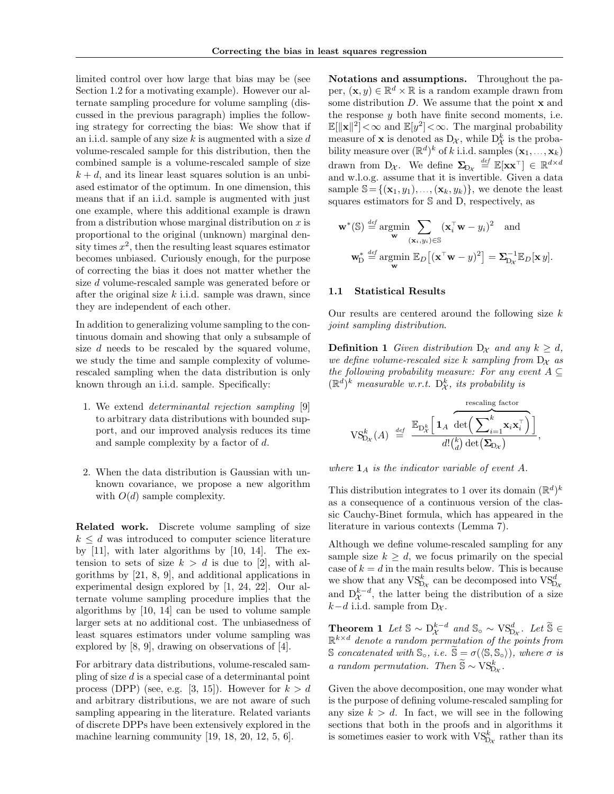limited control over how large that bias may be (see Section 1.2 for a motivating example). However our alternate sampling procedure for volume sampling (discussed in the previous paragraph) implies the following strategy for correcting the bias: We show that if an i.i.d. sample of any size *k* is augmented with a size *d* volume-rescaled sample for this distribution, then the combined sample is a volume-rescaled sample of size  $k + d$ , and its linear least squares solution is an unbiased estimator of the optimum. In one dimension, this means that if an i.i.d. sample is augmented with just one example, where this additional example is drawn from a distribution whose marginal distribution on *x* is proportional to the original (unknown) marginal density times  $x^2$ , then the resulting least squares estimator becomes unbiased. Curiously enough, for the purpose of correcting the bias it does not matter whether the size *d* volume-rescaled sample was generated before or after the original size *k* i.i.d. sample was drawn, since they are independent of each other.

In addition to generalizing volume sampling to the continuous domain and showing that only a subsample of size *d* needs to be rescaled by the squared volume, we study the time and sample complexity of volumerescaled sampling when the data distribution is only known through an i.i.d. sample. Specifically:

- 1. We extend *determinantal rejection sampling* [9] to arbitrary data distributions with bounded support, and our improved analysis reduces its time and sample complexity by a factor of *d*.
- 2. When the data distribution is Gaussian with unknown covariance, we propose a new algorithm with  $O(d)$  sample complexity.

Related work. Discrete volume sampling of size  $k \leq d$  was introduced to computer science literature by [11], with later algorithms by [10, 14]. The extension to sets of size  $k > d$  is due to [2], with algorithms by [21, 8, 9], and additional applications in experimental design explored by [1, 24, 22]. Our alternate volume sampling procedure implies that the algorithms by [10, 14] can be used to volume sample larger sets at no additional cost. The unbiasedness of least squares estimators under volume sampling was explored by [8, 9], drawing on observations of [4].

For arbitrary data distributions, volume-rescaled sampling of size *d* is a special case of a determinantal point process (DPP) (see, e.g. [3, 15]). However for  $k > d$ and arbitrary distributions, we are not aware of such sampling appearing in the literature. Related variants of discrete DPPs have been extensively explored in the machine learning community [19, 18, 20, 12, 5, 6].

Notations and assumptions. Throughout the paper,  $(\mathbf{x}, y) \in \mathbb{R}^d \times \mathbb{R}$  is a random example drawn from some distribution *D*. We assume that the point x and the response *y* both have finite second moments, i.e.  $\mathbb{E}[\|\mathbf{x}\|^2]<\infty$  and  $\mathbb{E}[y^2]<\infty$ . The marginal probability measure of **x** is denoted as  $D_{\mathcal{X}}$ , while  $D_{\mathcal{X}}^{k}$  is the probability measure over  $(\mathbb{R}^d)^k$  of *k* i.i.d. samples  $(\mathbf{x}_1, ..., \mathbf{x}_k)$ drawn from D<sub>*X*</sub>. We define  $\Sigma_{D_X} \stackrel{\text{def}}{=} \mathbb{E}[\mathbf{x} \mathbf{x}^{\top}] \in \mathbb{R}^{d \times d}$ and w.l.o.g. assume that it is invertible. Given a data sample  $\mathbb{S} = \{(\mathbf{x}_1, y_1), \ldots, (\mathbf{x}_k, y_k)\}\)$ , we denote the least squares estimators for S and D, respectively, as

$$
\mathbf{w}^*(\mathbb{S}) \stackrel{\text{def}}{=} \underset{\mathbf{w}}{\operatorname{argmin}} \sum_{(\mathbf{x}_i, y_i) \in \mathbb{S}} (\mathbf{x}_i^{\top} \mathbf{w} - y_i)^2 \text{ and}
$$

$$
\mathbf{w}_D^* \stackrel{\text{def}}{=} \underset{\mathbf{w}}{\operatorname{argmin}} \mathbb{E}_D[(\mathbf{x}^{\top} \mathbf{w} - y)^2] = \sum_{\mathbf{D}_x}^{-1} \mathbb{E}_D[\mathbf{x} \, y].
$$

#### 1.1 Statistical Results

Our results are centered around the following size *k joint sampling distribution*.

**Definition 1** *Given distribution*  $D_x$  *and any*  $k \geq d$ *, we define volume-rescaled size*  $k$  *sampling from*  $D_x$  *as the following probability measure: For any event*  $A \subseteq$  $(\mathbb{R}^d)^k$  *measurable w.r.t.*  $D^k_{\mathcal{X}}$ *, its probability is* 

rescaling factor  
\n
$$
\mathrm{VS}_{\mathrm{D}_{\mathcal{X}}}^k(A) \stackrel{\mathrm{def}}{=} \frac{\mathbb{E}_{\mathrm{D}_{\mathcal{X}}^k}\Big[\mathbf{1}_A\ \overbrace{\det\Bigl(\sum_{i=1}^k\mathbf{x}_i\mathbf{x}_i^\top\Bigr)}^{\mathrm{rescaling\,factor}}\Big]}{d!\binom{k}{d}\det\Bigl(\sum_{\mathrm{D}_{\mathcal{X}}}\Bigr)},
$$

where  $\mathbf{1}_A$  *is the indicator variable of event*  $A$ *.* 

This distribution integrates to 1 over its domain  $(\mathbb{R}^d)^k$ as a consequence of a continuous version of the classic Cauchy-Binet formula, which has appeared in the literature in various contexts (Lemma 7).

Although we define volume-rescaled sampling for any sample size  $k \geq d$ , we focus primarily on the special case of  $k = d$  in the main results below. This is because we show that any  $VS_{D_x}^k$  can be decomposed into  $VS_{D_x}^d$ and  $D_{\mathcal{X}}^{k-d}$ , the latter being the distribution of a size  $k-d$  i.i.d. sample from  $D_{\mathcal{X}}$ .

**Theorem 1** Let  $\mathbb{S} \sim D_{\mathcal{X}}^{k-d}$  and  $\mathbb{S}_{\circ} \sim \text{VS}_{D_{\mathcal{X}}}^{d}$ . Let  $\widetilde{\mathbb{S}} \in \mathbb{S}^{k \times d}$ .  $\mathbb{R}^{k \times d}$  *denote a random permutation of the points from* S *concatenated with*  $\mathbb{S}_{\text{o}}$ *, i.e.*  $\widetilde{\mathbb{S}} = \sigma(\langle \mathbb{S}, \mathbb{S}_{\text{o}} \rangle)$ *, where*  $\sigma$  *is a random permutation. Then*  $\widetilde{S} \sim VS_{Dx}^k$ .

Given the above decomposition, one may wonder what is the purpose of defining volume-rescaled sampling for any size  $k > d$ . In fact, we will see in the following sections that both in the proofs and in algorithms it is sometimes easier to work with  $\mathrm{VS}_{\mathrm{D}x}^k$  rather than its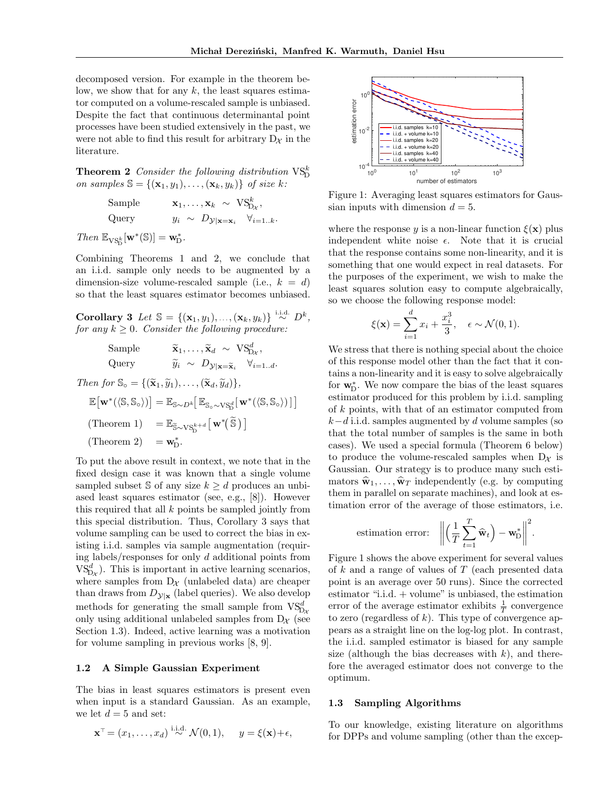decomposed version. For example in the theorem below, we show that for any *k*, the least squares estimator computed on a volume-rescaled sample is unbiased. Despite the fact that continuous determinantal point processes have been studied extensively in the past, we were not able to find this result for arbitrary  $D_{\mathcal{X}}$  in the literature.

**Theorem 2** *Consider the following distribution*  $VS_{D}^{k}$ *on samples*  $\mathbb{S} = \{(\mathbf{x}_1, y_1), \ldots, (\mathbf{x}_k, y_k)\}$  *of size k*:

Sample 
$$
\mathbf{x}_1, ..., \mathbf{x}_k \sim \text{VS}_{\text{D}_\mathcal{X}}^k
$$
,  
Query  $y_i \sim D_{\mathcal{Y}|\mathbf{x}=\mathbf{x}_i} \quad \forall_{i=1..k}$ .

 $Then \ \mathbb{E}_{\text{VS}_{\text{D}}^k}[\mathbf{w}^*(\mathbb{S})] = \mathbf{w}_{\text{D}}^*.$ 

Combining Theorems 1 and 2, we conclude that an i.i.d. sample only needs to be augmented by a dimension-size volume-rescaled sample (i.e.,  $k = d$ ) so that the least squares estimator becomes unbiased.

Corollary 3 *Let*  $\mathbb{S} = \{(\mathbf{x}_1, y_1), \ldots, (\mathbf{x}_k, y_k)\}\stackrel{\text{i.i.d.}}{\sim} D^k$ , *for any*  $k \geq 0$ *. Consider the following procedure:* 

Sample 
$$
\tilde{\mathbf{x}}_1, ..., \tilde{\mathbf{x}}_d \sim \text{VS}_{D_x}^d,
$$
  
Query  $\tilde{y}_i \sim D_{\mathcal{Y}|\mathbf{x}=\tilde{\mathbf{x}}_i} \quad \forall_{i=1..d}.$ 

Then for 
$$
\mathbb{S}_{\circ} = \{(\widetilde{\mathbf{x}}_1, \widetilde{y}_1), \dots, (\widetilde{\mathbf{x}}_d, \widetilde{y}_d)\},
$$
  
\n
$$
\mathbb{E}[\mathbf{w}^*(\langle \mathbb{S}, \mathbb{S}_{\circ} \rangle)] = \mathbb{E}_{\mathbb{S}_{\sim}D^k}[\mathbb{E}_{\mathbb{S}_{\circ} \sim \text{VS}_{\circ}^d}[\mathbf{w}^*(\langle \mathbb{S}, \mathbb{S}_{\circ} \rangle)]]
$$
\n(Theorem 1) =  $\mathbb{E}_{\widetilde{\mathbb{S}} \sim \text{VS}_{\circ}^{k+d}}[\mathbf{w}^*(\widetilde{\mathbb{S}})]$   
\n(Theorem 2) =  $\mathbf{w}_{\mathbb{D}}^*$ .

To put the above result in context, we note that in the fixed design case it was known that a single volume sampled subset S of any size  $k \geq d$  produces an unbiased least squares estimator (see, e.g., [8]). However this required that all *k* points be sampled jointly from this special distribution. Thus, Corollary 3 says that volume sampling can be used to correct the bias in existing i.i.d. samples via sample augmentation (requiring labels/responses for only *d* additional points from  $V_{D_{\mathcal{X}}}^{S_d}$ . This is important in active learning scenarios, where samples from  $D_{\mathcal{X}}$  (unlabeled data) are cheaper than draws from  $D_{\mathcal{Y}|\mathbf{x}}$  (label queries). We also develop methods for generating the small sample from  $VS_{D\chi}^{d}$ only using additional unlabeled samples from  $D_{\mathcal{X}}$  (see Section 1.3). Indeed, active learning was a motivation for volume sampling in previous works [8, 9].

#### 1.2 A Simple Gaussian Experiment

The bias in least squares estimators is present even when input is a standard Gaussian. As an example, we let  $d = 5$  and set:

$$
\mathbf{x}^{\top} = (x_1, \dots, x_d) \stackrel{\text{i.i.d.}}{\sim} \mathcal{N}(0, 1), \quad y = \xi(\mathbf{x}) + \epsilon,
$$



Figure 1: Averaging least squares estimators for Gaussian inputs with dimension  $d = 5$ .

where the response *y* is a non-linear function  $\xi(\mathbf{x})$  plus independent white noise  $\epsilon$ . Note that it is crucial that the response contains some non-linearity, and it is something that one would expect in real datasets. For the purposes of the experiment, we wish to make the least squares solution easy to compute algebraically, so we choose the following response model:

$$
\xi(\mathbf{x}) = \sum_{i=1}^{d} x_i + \frac{x_i^3}{3}, \quad \epsilon \sim \mathcal{N}(0, 1).
$$

We stress that there is nothing special about the choice of this response model other than the fact that it contains a non-linearity and it is easy to solve algebraically for  $w_{\mathcal{D}}^*$ . We now compare the bias of the least squares estimator produced for this problem by i.i.d. sampling of *k* points, with that of an estimator computed from  $k-d$  i.i.d. samples augmented by *d* volume samples (so that the total number of samples is the same in both cases). We used a special formula (Theorem 6 below) to produce the volume-rescaled samples when  $D_{\chi}$  is Gaussian. Our strategy is to produce many such estimators  $\hat{\mathbf{w}}_1, \ldots, \hat{\mathbf{w}}_T$  independently (e.g. by computing them in parallel on separate machines), and look at estimation error of the average of those estimators, i.e.

estimation error: 
$$
\left\| \left( \frac{1}{T} \sum_{t=1}^{T} \widehat{\mathbf{w}}_t \right) - \mathbf{w}_D^* \right\|^2
$$
.

Figure 1 shows the above experiment for several values of *k* and a range of values of *T* (each presented data point is an average over 50 runs). Since the corrected estimator "i.i.d. + volume" is unbiased, the estimation error of the average estimator exhibits  $\frac{1}{T}$  convergence to zero (regardless of  $k$ ). This type of convergence appears as a straight line on the log-log plot. In contrast, the i.i.d. sampled estimator is biased for any sample size (although the bias decreases with *k*), and therefore the averaged estimator does not converge to the optimum.

#### 1.3 Sampling Algorithms

To our knowledge, existing literature on algorithms for DPPs and volume sampling (other than the excep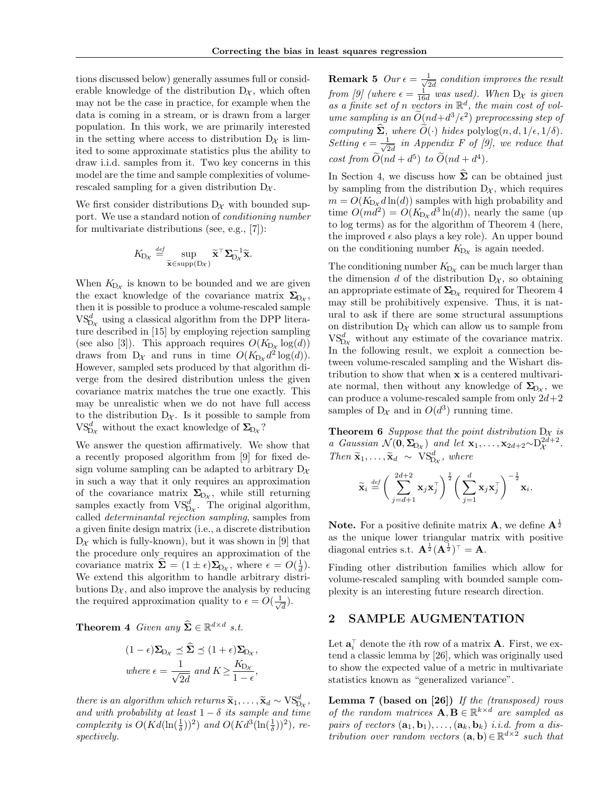tions discussed below) generally assumes full or considerable knowledge of the distribution  $D_{\mathcal{X}}$ , which often may not be the case in practice, for example when the data is coming in a stream, or is drawn from a larger population. In this work, we are primarily interested in the setting where access to distribution  $D_{\chi}$  is limited to some approximate statistics plus the ability to draw i.i.d. samples from it. Two key concerns in this model are the time and sample complexities of volumerescaled sampling for a given distribution  $D_{\mathcal{X}}$ .

We first consider distributions  $D_{\mathcal{X}}$  with bounded support. We use a standard notion of *conditioning number* for multivariate distributions (see, e.g., [7]):

$$
K_{\mathcal{D}_{\mathcal{X}}} \stackrel{\text{def}}{=} \sup_{\widetilde{\mathbf{x}} \in \text{supp}(\mathcal{D}_{\mathcal{X}})} \widetilde{\mathbf{x}}^{\top} \mathbf{\Sigma}_{\mathcal{D}_{\mathcal{X}}}^{-1} \widetilde{\mathbf{x}}.
$$

When  $K_{Dx}$  is known to be bounded and we are given the exact knowledge of the covariance matrix  $\Sigma_{D_{\mathcal{X}}}$ , then it is possible to produce a volume-rescaled sample  $V\mathcal{S}_{\mathcal{D}_{\mathcal{X}}}^{d}$  using a classical algorithm from the DPP literature described in [15] by employing rejection sampling (see also [3]). This approach requires  $O(K_{D_x} \log(d))$ draws from  $D_{\mathcal{X}}$  and runs in time  $O(K_{D_{\mathcal{X}}}d^2 \log(d)).$ However, sampled sets produced by that algorithm diverge from the desired distribution unless the given covariance matrix matches the true one exactly. This may be unrealistic when we do not have full access to the distribution  $D_{\mathcal{X}}$ . Is it possible to sample from  $\text{VS}_{\text{D}\chi}^d$  without the exact knowledge of  $\mathbf{\Sigma}_{\text{D}\chi}$ ?

We answer the question affirmatively. We show that a recently proposed algorithm from [9] for fixed design volume sampling can be adapted to arbitrary  $D_{\chi}$ in such a way that it only requires an approximation of the covariance matrix  $\Sigma_{D_{\mathcal{X}}}$ , while still returning samples exactly from  $VS_{D_x}^d$ . The original algorithm, called *determinantal rejection sampling*, samples from a given finite design matrix (i.e., a discrete distribution  $D_{\mathcal{X}}$  which is fully-known), but it was shown in [9] that the procedure only requires an approximation of the covariance matrix  $\hat{\Sigma} = (1 \pm \epsilon) \Sigma_{D_{\mathcal{X}}}$ , where  $\epsilon = O(\frac{1}{d}).$ We extend this algorithm to handle arbitrary distributions  $D_{\mathcal{X}}$ , and also improve the analysis by reducing the required approximation quality to  $\epsilon = O(\frac{1}{\sqrt{d}})$ .

**Theorem 4** Given any  $\widehat{\Sigma} \in \mathbb{R}^{d \times d}$  *s.t.* 

$$
(1 - \epsilon)\Sigma_{D_{\mathcal{X}}} \preceq \widehat{\Sigma} \preceq (1 + \epsilon)\Sigma_{D_{\mathcal{X}}},
$$
  
where  $\epsilon = \frac{1}{\sqrt{2d}}$  and  $K \ge \frac{K_{D_{\mathcal{X}}}}{1 - \epsilon}$ ,

*there is an algorithm which returns*  $\widetilde{\mathbf{x}}_1, \ldots, \widetilde{\mathbf{x}}_d \sim \mathrm{VS}_{\mathrm{D}x}^d$ ,  $\ldots$  *d with words little is least* 1. Set *it comes and time* and with probability at least  $1 - \delta$  its sample and time *complexity is*  $O(Kd(\ln(\frac{1}{\delta}))^2)$  *and*  $O(Kd^3(\ln(\frac{1}{\delta}))^2)$ *, respectively.*

**Remark 5**  $Our \epsilon = \frac{1}{\sqrt{2d}}$  condition improves the result *from [9] (where*  $\epsilon = \frac{1}{16d}$  *was used). When*  $D_{\mathcal{X}}$  *is given as a finite set of n vectors in* R*d, the main cost of volume sampling is an*  $\tilde{O}(nd+d^3/\epsilon^2)$  *preprocessing step of computing*  $\dot{\Sigma}$ *, where*  $O(\cdot)$  *hides* polylog $(n, d, 1/\epsilon, 1/\delta)$ *. Setting*  $\epsilon = \frac{1}{\sqrt{2d}}$  *in Appendix F of [9], we reduce that cost from*  $\ddot{O}(nd + d^5)$  *to*  $\ddot{O}(nd + d^4)$ *.* 

In Section 4, we discuss how  $\widehat{\Sigma}$  can be obtained just by sampling from the distribution  $D_{\mathcal{X}}$ , which requires  $m = O(K_{D_x} d \ln(d))$  samples with high probability and time  $O(md^2) = O(K_{Dx} d^3 \ln(d))$ , nearly the same (up to log terms) as for the algorithm of Theorem 4 (here, the improved  $\epsilon$  also plays a key role). An upper bound on the conditioning number  $K_{Dx}$  is again needed.

The conditioning number  $K_{D_{\mathcal{X}}}$  can be much larger than the dimension *d* of the distribution  $D_{\mathcal{X}}$ , so obtaining an appropriate estimate of  $\Sigma_{D_{\mathcal{X}}}$  required for Theorem 4 may still be prohibitively expensive. Thus, it is natural to ask if there are some structural assumptions on distribution  $D_{\mathcal{X}}$  which can allow us to sample from  $V_{D_X}^{S_d}$  without any estimate of the covariance matrix. In the following result, we exploit a connection between volume-rescaled sampling and the Wishart distribution to show that when x is a centered multivariate normal, then without any knowledge of  $\Sigma_{D_x}$ , we can produce a volume-rescaled sample from only 2*d*+2 samples of  $D_{\mathcal{X}}$  and in  $O(d^3)$  running time.

**Theorem 6** *Suppose that the point distribution*  $D_x$  *is a Gaussian*  $\mathcal{N}(\mathbf{0}, \mathbf{\Sigma}_{D_{\mathcal{X}}})$  *and let*  $\mathbf{x}_1, \ldots, \mathbf{x}_{2d+2} \sim D_{\mathcal{X}}^{2d+2}$ . *Then*  $\widetilde{\mathbf{x}}_1, \ldots, \widetilde{\mathbf{x}}_d \sim \text{VS}_{D_{\mathcal{X}}}^d$ , where

$$
\widetilde{\mathbf{x}}_i \stackrel{\text{def}}{=} \bigg(\sum_{j=d+1}^{2d+2} \mathbf{x}_j \mathbf{x}_j^{\top}\bigg)^{\frac{1}{2}} \bigg(\sum_{j=1}^d \mathbf{x}_j \mathbf{x}_j^{\top}\bigg)^{-\frac{1}{2}} \mathbf{x}_i.
$$

**Note.** For a positive definite matrix **A**, we define  $\mathbf{A}^{\frac{1}{2}}$ as the unique lower triangular matrix with positive diagonal entries s.t.  $\mathbf{A}^{\frac{1}{2}}(\mathbf{A}^{\frac{1}{2}})^{\top} = \mathbf{A}$ .

Finding other distribution families which allow for volume-rescaled sampling with bounded sample complexity is an interesting future research direction.

### 2 SAMPLE AUGMENTATION

Let  $\mathbf{a}_i^{\top}$  denote the *i*<sup>th</sup> row of a matrix **A**. First, we extend a classic lemma by [26], which was originally used to show the expected value of a metric in multivariate statistics known as "generalized variance".

Lemma 7 (based on [26]) *If the (transposed) rows of the random matrices*  $\mathbf{A}, \mathbf{B} \in \mathbb{R}^{k \times d}$  *are sampled as pairs of vectors*  $(a_1, b_1), \ldots, (a_k, b_k)$  *i.i.d. from a distribution over random vectors*  $(\mathbf{a}, \mathbf{b}) \in \mathbb{R}^{d \times 2}$  *such that*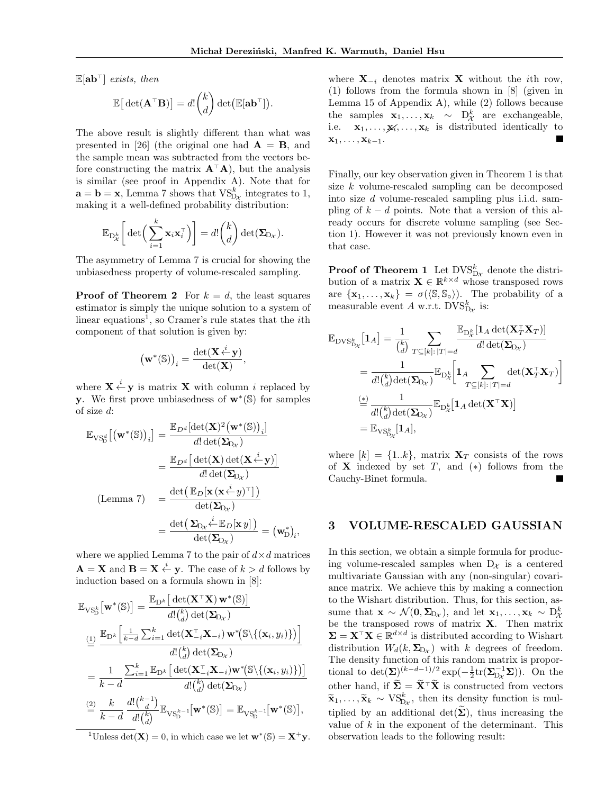*.*

 $\mathbb{E}[\mathbf{a}\mathbf{b}^{\top}]$  *exists, then* 

$$
\mathbb{E}\big[\det(\mathbf{A}^\top \mathbf{B})\big] = d! \binom{k}{d} \det(\mathbb{E}[\mathbf{a} \mathbf{b}^\top])
$$

The above result is slightly different than what was presented in [26] (the original one had  $\mathbf{A} = \mathbf{B}$ , and the sample mean was subtracted from the vectors before constructing the matrix  $A^{\dagger}A$ , but the analysis is similar (see proof in Appendix A). Note that for  $\mathbf{a} = \mathbf{b} = \mathbf{x}$ , Lemma 7 shows that  $\mathrm{VS}_{D_X}^k$  integrates to 1, making it a well-defined probability distribution:

$$
\mathbb{E}_{\mathrm{D}_{\mathcal{X}}^{k}}\bigg[\det\bigg(\sum_{i=1}^{k} \mathbf{x}_{i} \mathbf{x}_{i}^{\top}\bigg)\bigg] = d! \binom{k}{d} \det(\mathbf{\Sigma}_{\mathrm{D}_{\mathcal{X}}}).
$$

The asymmetry of Lemma 7 is crucial for showing the unbiasedness property of volume-rescaled sampling.

**Proof of Theorem 2** For  $k = d$ , the least squares estimator is simply the unique solution to a system of linear equations<sup>1</sup>, so Cramer's rule states that the *i*th component of that solution is given by:

$$
\big(\mathbf{w}^*(\mathbb{S})\big)_i = \frac{\det(\mathbf{X} \stackrel{i}{\leftarrow} \mathbf{y})}{\det(\mathbf{X})},
$$

where  $\mathbf{X} \stackrel{i}{\leftarrow} \mathbf{y}$  is matrix  $\mathbf{X}$  with column *i* replaced by y. We first prove unbiasedness of  $w^*(\mathbb{S})$  for samples of size *d*:

$$
\mathbb{E}_{\text{VS}_{\text{D}}^{\mathcal{A}}}[(\mathbf{w}^*(\mathbb{S}))_i] = \frac{\mathbb{E}_{D^d}[\det(\mathbf{X})^2(\mathbf{w}^*(\mathbb{S}))_i]}{d! \det(\mathbf{\Sigma}_{\text{D}_\mathcal{X}})}
$$

$$
= \frac{\mathbb{E}_{D^d}[\det(\mathbf{X}) \det(\mathbf{X} \stackrel{i}{\leftarrow} \mathbf{y})]}{d! \det(\mathbf{\Sigma}_{\text{D}_\mathcal{X}})}
$$

$$
\text{(Lemma 7)} = \frac{\det(\mathbb{E}_D[\mathbf{x} (\mathbf{x} \stackrel{i}{\leftarrow} y)^\top])}{\det(\mathbf{\Sigma}_{\text{D}_\mathcal{X}})}
$$

$$
= \frac{\det(\mathbf{\Sigma}_{\text{D}_\mathcal{X}} \stackrel{i}{\leftarrow} \mathbb{E}_D[\mathbf{x} y])}{\det(\mathbf{\Sigma}_{\text{D}_\mathcal{X}})} = (\mathbf{w}_{\text{D}}^*)_i,
$$

where we applied Lemma 7 to the pair of  $d \times d$  matrices  $\mathbf{A} = \mathbf{X}$  and  $\mathbf{B} = \mathbf{X} \stackrel{i}{\leftarrow} \mathbf{y}$ . The case of  $k > d$  follows by induction based on a formula shown in [8]:

$$
\mathbb{E}_{\text{VS}_{\text{D}}^{k}}\left[\mathbf{w}^{*}(\mathbb{S})\right] = \frac{\mathbb{E}_{\text{D}^{k}}\left[\det(\mathbf{X}^{T}\mathbf{X})\mathbf{w}^{*}(\mathbb{S})\right]}{d!\binom{k}{d}\det(\mathbf{\Sigma}_{\text{D}\chi})}
$$
\n
$$
\stackrel{(1)}{=} \frac{\mathbb{E}_{\text{D}^{k}}\left[\frac{1}{k-d}\sum_{i=1}^{k}\det(\mathbf{X}_{-i}^{T}\mathbf{X}_{-i})\mathbf{w}^{*}(\mathbb{S}\backslash\{(\mathbf{x}_{i}, y_{i})\})\right]}{d!\binom{k}{d}\det(\mathbf{\Sigma}_{\text{D}\chi})}
$$
\n
$$
= \frac{1}{k-d} \frac{\sum_{i=1}^{k}\mathbb{E}_{\text{D}^{k}}\left[\det(\mathbf{X}_{-i}^{T}\mathbf{X}_{-i})\mathbf{w}^{*}(\mathbb{S}\backslash\{(\mathbf{x}_{i}, y_{i})\})\right]}{d!\binom{k}{d}\det(\mathbf{\Sigma}_{\text{D}\chi})}
$$
\n
$$
\stackrel{(2)}{=} \frac{k}{k-d} \frac{d!\binom{k-1}{d}}{d!\binom{k}{d}} \mathbb{E}_{\text{VS}_{\text{D}}^{k-1}}\left[\mathbf{w}^{*}(\mathbb{S})\right] = \mathbb{E}_{\text{VS}_{\text{D}}^{k-1}}\left[\mathbf{w}^{*}(\mathbb{S})\right],
$$

<sup>1</sup>Unless det(**X**) = 0, in which case we let  $\mathbf{w}^*(\mathbb{S}) = \mathbf{X}^+ \mathbf{y}$ .

where  $X_{-i}$  denotes matrix X without the *i*th row, (1) follows from the formula shown in [8] (given in Lemma 15 of Appendix A), while (2) follows because the samples  $\mathbf{x}_1, \ldots, \mathbf{x}_k \sim \mathbf{D}_{\mathcal{X}}^k$  are exchangeable, i.e.  $\mathbf{x}_1, \ldots, \mathbf{x}_k, \ldots, \mathbf{x}_k$  is distributed identically to  $\mathbf{x}_1,\ldots,\mathbf{x}_{k-1}$ .

Finally, our key observation given in Theorem 1 is that size *k* volume-rescaled sampling can be decomposed into size *d* volume-rescaled sampling plus i.i.d. sampling of  $k - d$  points. Note that a version of this already occurs for discrete volume sampling (see Section 1). However it was not previously known even in that case.

**Proof of Theorem 1** Let  $DVS_{Dx}^k$  denote the distribution of a matrix  $\mathbf{X} \in \mathbb{R}^{k \times d}$  whose transposed rows are  $\{x_1, \ldots, x_k\} = \sigma(\langle \mathbb{S}, \mathbb{S}_{\circ} \rangle)$ . The probability of a measurable event *A* w.r.t.  $DVS_{D_{\mathcal{X}}}^{k}$  is:

$$
\mathbb{E}_{\text{DVS}}_{\text{D}_{\chi}}\left[\mathbf{1}_{A}\right] = \frac{1}{\binom{k}{d}} \sum_{T \subseteq [k]: |T| = d} \frac{\mathbb{E}_{\text{D}_{\chi}^{k}}\left[\mathbf{1}_{A} \det(\mathbf{X}_{T}^{T} \mathbf{X}_{T})\right]}{d! \det(\mathbf{\Sigma}_{\text{D}_{\chi}})} \n= \frac{1}{d! \binom{k}{d} \det(\mathbf{\Sigma}_{\text{D}_{\chi}})} \mathbb{E}_{\text{D}_{\chi}^{k}}\left[\mathbf{1}_{A} \sum_{T \subseteq [k]: |T| = d} \det(\mathbf{X}_{T}^{T} \mathbf{X}_{T})\right] \n\stackrel{\left(\frac{\ast}{\text{D}}\right)}{d! \binom{k}{d} \det(\mathbf{\Sigma}_{\text{D}_{\chi}})} \mathbb{E}_{\text{D}_{\chi}^{k}}\left[\mathbf{1}_{A} \det(\mathbf{X}^{T} \mathbf{X})\right] \n= \mathbb{E}_{\text{VS}}_{\text{D}_{\chi}}[\mathbf{1}_{A}],
$$

where  $[k] = \{1..k\}$ , matrix  $X_T$  consists of the rows of  $X$  indexed by set  $T$ , and  $(*)$  follows from the Cauchy-Binet formula.

### 3 VOLUME-RESCALED GAUSSIAN

In this section, we obtain a simple formula for producing volume-rescaled samples when  $D_{\mathcal{X}}$  is a centered multivariate Gaussian with any (non-singular) covariance matrix. We achieve this by making a connection to the Wishart distribution. Thus, for this section, assume that  $\mathbf{x} \sim \mathcal{N}(\mathbf{0}, \mathbf{\Sigma}_{D_{\mathcal{X}}})$ , and let  $\mathbf{x}_1, \ldots, \mathbf{x}_k \sim D_{\mathcal{X}}^k$ be the transposed rows of matrix **X**. Then matrix  $\Sigma = \mathbf{X}^\top \mathbf{X} \in \mathbb{R}^{d \times d}$  is distributed according to Wishart distribution  $W_d(k, \Sigma_{Dx})$  with *k* degrees of freedom. The density function of this random matrix is proportional to  $\det(\Sigma)^{(k-d-1)/2} \exp(-\frac{1}{2}tr(\Sigma_{D_{\mathcal{X}}}^{-1}\Sigma)).$  On the other hand, if  $\widetilde{\Sigma} = \widetilde{\mathbf{X}}^{\top} \widetilde{\mathbf{X}}$  is constructed from vectors  $\widetilde{\mathbf{x}}_1, \ldots, \widetilde{\mathbf{x}}_k \sim \text{VS}_{\text{D}_\mathcal{X}}^k$ , then its density function is multiplied by an additional  $\det(\Sigma)$ , thus increasing the value of *k* in the exponent of the determinant. This observation leads to the following result: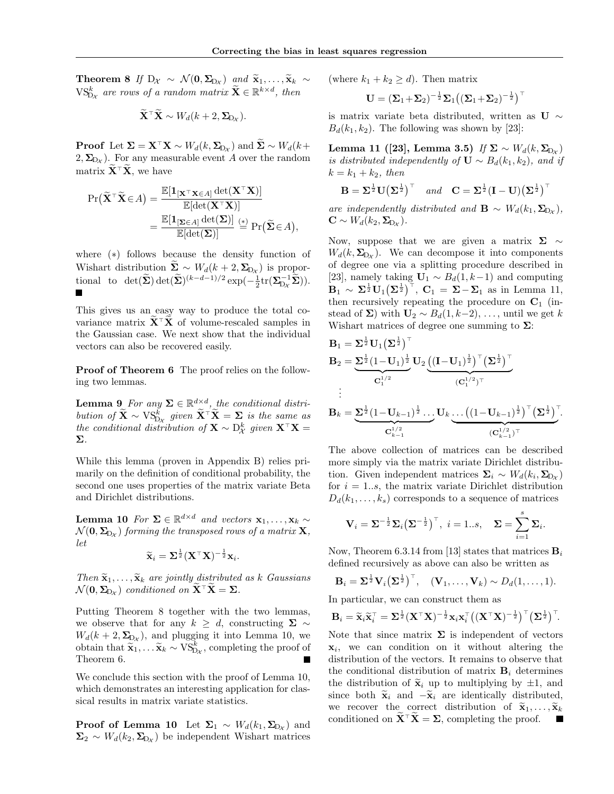**Theorem 8** If  $D_{\mathcal{X}} \sim \mathcal{N}(\mathbf{0}, \Sigma_{D_{\mathcal{X}}})$  and  $\widetilde{\mathbf{x}}_1, \ldots, \widetilde{\mathbf{x}}_k \sim$  $\mathrm{VS}_{\mathrm{D}_{\mathcal{X}}}^{k}$  are rows of a random matrix  $\widetilde{\mathbf{X}} \in \mathbb{R}^{k \times d}$ , then

$$
\widetilde{\mathbf{X}}^{\top} \widetilde{\mathbf{X}} \sim W_d(k+2, \Sigma_{D_{\mathcal{X}}}).
$$

**Proof** Let  $\Sigma = \mathbf{X}^{\top} \mathbf{X} \sim W_d(k, \Sigma_{D_{\mathcal{X}}})$  and  $\Sigma \sim W_d(k+1)$  $2, \Sigma_{D_x}$ ). For any measurable event *A* over the random matrix  $\widetilde{\mathbf{X}}^{\top} \widetilde{\mathbf{X}}$ , we have

$$
\Pr(\widetilde{\mathbf{X}}^{\top}\widetilde{\mathbf{X}}\in A) = \frac{\mathbb{E}[\mathbf{1}_{[\mathbf{X}^{\top}\mathbf{X}\in A]} \det(\mathbf{X}^{\top}\mathbf{X})]}{\mathbb{E}[\det(\mathbf{X}^{\top}\mathbf{X})]} \n= \frac{\mathbb{E}[\mathbf{1}_{[\Sigma\in A]} \det(\Sigma)]}{\mathbb{E}[\det(\Sigma)]} \stackrel{(*)}{=} \Pr(\widetilde{\Sigma}\in A),
$$

where  $(*)$  follows because the density function of Wishart distribution  $\Sigma \sim W_d(k+2, \Sigma_{D_{\mathcal{X}}})$  is proportional to  $\det(\tilde{\Sigma}) \det(\tilde{\Sigma})^{(k-d-1)/2} \exp(-\frac{1}{2} \text{tr}(\Sigma_{D_{\mathcal{X}}}^{-1} \tilde{\Sigma})).$ 

This gives us an easy way to produce the total covariance matrix  $X^{\dagger}X$  of volume-rescaled samples in the Gaussian case. We next show that the individual vectors can also be recovered easily.

Proof of Theorem 6 The proof relies on the following two lemmas.

**Lemma 9** For any  $\Sigma \in \mathbb{R}^{d \times d}$ , the conditional distri*bution of*  $\widetilde{\mathbf{X}} \sim \text{VS}_{\text{D}x}^k$  given  $\widetilde{\mathbf{X}}^{\top} \widetilde{\mathbf{X}} = \sum_{\mathbf{k}}$  *is the same as*  $the \; conditional \; distribution \; of \; \mathbf{X} \sim D_{\mathcal{X}}^{k} \; given \; \mathbf{X}^{\top} \mathbf{X} = \mathbf{X} \; .$ ⌃*.*

While this lemma (proven in Appendix B) relies primarily on the definition of conditional probability, the second one uses properties of the matrix variate Beta and Dirichlet distributions.

**Lemma 10** For  $\Sigma \in \mathbb{R}^{d \times d}$  and vectors  $\mathbf{x}_1, \ldots, \mathbf{x}_k \sim$  $\mathcal{N}(\mathbf{0}, \mathbf{\Sigma}_{\mathrm{D}\chi})$  *forming the transposed rows of a matrix* **X***, let*

$$
\widetilde{\mathbf{x}}_i = \mathbf{\Sigma}^{\frac{1}{2}} (\mathbf{X}^{\top} \mathbf{X})^{-\frac{1}{2}} \mathbf{x}_i.
$$

*Then*  $\widetilde{\mathbf{x}}_1, \ldots, \widetilde{\mathbf{x}}_k$  *are jointly distributed as k Gaussians*  $\mathcal{N}(\mathbf{0}, \mathbf{\Sigma}_{D_{\mathcal{X}}})$  *conditioned on*  $\mathbf{X}^{\top} \mathbf{X} = \mathbf{\Sigma}$ *.* 

Putting Theorem 8 together with the two lemmas, we observe that for any  $k \geq d$ , constructing  $\Sigma \sim$  $W_d(k+2, \Sigma_{Dx})$ , and plugging it into Lemma 10, we obtain that  $\widetilde{\mathbf{x}}_1, \ldots \widetilde{\mathbf{x}}_k \sim \text{VS}_{\text{D}_\mathcal{X}}^k$ , completing the proof of Theorem 6.

We conclude this section with the proof of Lemma 10, which demonstrates an interesting application for classical results in matrix variate statistics.

**Proof of Lemma 10** Let  $\Sigma_1 \sim W_d(k_1, \Sigma_{D_\mathcal{X}})$  and  $\Sigma_2 \sim W_d(k_2, \Sigma_{D_x})$  be independent Wishart matrices (where  $k_1 + k_2 \geq d$ ). Then matrix

$$
\mathbf{U} = (\boldsymbol{\Sigma}_1 + \boldsymbol{\Sigma}_2)^{-\frac{1}{2}} \boldsymbol{\Sigma}_1 \big( (\boldsymbol{\Sigma}_1 + \boldsymbol{\Sigma}_2)^{-\frac{1}{2}} \big)^{\top}
$$

is matrix variate beta distributed, written as U  $\sim$  $B_d(k_1, k_2)$ . The following was shown by [23]:

Lemma 11 ([23], Lemma 3.5) *If*  $\Sigma \sim W_d(k, \Sigma_{D_X})$ *is distributed independently of*  $\mathbf{U} \sim B_d(k_1, k_2)$ *, and if*  $k = k_1 + k_2$ *, then* 

$$
\mathbf{B} = \mathbf{\Sigma}^{\frac{1}{2}} \mathbf{U} \big( \mathbf{\Sigma}^{\frac{1}{2}} \big)^\top \quad \text{and} \quad \mathbf{C} = \mathbf{\Sigma}^{\frac{1}{2}} (\mathbf{I} - \mathbf{U}) \big( \mathbf{\Sigma}^{\frac{1}{2}} \big)^\top
$$

are independently distributed and  $\mathbf{B} \sim W_d(k_1, \Sigma_{D_x}),$  $\mathbf{C} \sim W_d(k_2, \Sigma_{D_x}).$ 

Now, suppose that we are given a matrix  $\Sigma \sim$  $W_d(k, \Sigma_{D_X})$ . We can decompose it into components of degree one via a splitting procedure described in [23], namely taking  $U_1 \sim B_d(1, k-1)$  and computing  $\mathbf{B}_1 \sim \Sigma^{\frac{1}{2}} \mathbf{U}_1 (\Sigma^{\frac{1}{2}})^{\top}, \ \mathbf{C}_1 = \Sigma - \Sigma_1 \text{ as in Lemma 11,}$ then recursively repeating the procedure on  $C_1$  (instead of  $\Sigma$ ) with  $U_2 \sim B_d(1, k-2), \ldots$ , until we get *k* Wishart matrices of degree one summing to  $\Sigma$ :

$$
B_1 = \sum_{\substack{1 \text{odd } n}} \frac{1}{2} U_1 (\sum_{\substack{1 \text{odd } n}}^{\frac{1}{2}})^{\top} B_2 = \underbrace{\sum_{\substack{1 \text{odd } n}} \frac{1}{2} (1 - U_1)^{\frac{1}{2}} U_2 \underbrace{\left((I - U_1)^{\frac{1}{2}}\right)^{\top} \left(\sum_{\substack{1 \text{odd } n}}^{\frac{1}{2}}\right)^{\top}}_{\left(C_1^{1/2}\right)^{\top}} \vdots B_k = \underbrace{\sum_{\substack{1 \text{odd } n}} \frac{1}{2} (1 - U_{k-1})^{\frac{1}{2}} \cdots U_k \cdots \left((1 - U_{k-1})^{\frac{1}{2}}\right)^{\top} \left(\sum_{\substack{1 \text{odd } n}}^{\frac{1}{2}}\right)^{\top}}_{\left(C_{k-1}^{1/2}\right)^{\top}}.
$$

The above collection of matrices can be described more simply via the matrix variate Dirichlet distribution. Given independent matrices  $\Sigma_i \sim W_d(k_i, \Sigma_{D_x})$ for  $i = 1..s$ , the matrix variate Dirichlet distribution  $D_d(k_1,\ldots,k_s)$  corresponds to a sequence of matrices

$$
\mathbf{V}_i = \Sigma^{-\frac{1}{2}} \Sigma_i \left( \Sigma^{-\frac{1}{2}} \right)^{\top}, \ i = 1..s, \quad \Sigma = \sum_{i=1}^s \Sigma_i.
$$

Now, Theorem 6.3.14 from [13] states that matrices B*<sup>i</sup>* defined recursively as above can also be written as

$$
\mathbf{B}_i = \Sigma^{\frac{1}{2}} \mathbf{V}_i (\Sigma^{\frac{1}{2}})^{\top}, \quad (\mathbf{V}_1, \dots, \mathbf{V}_k) \sim D_d(1, \dots, 1).
$$

In particular, we can construct them as

$$
\mathbf{B}_i = \widetilde{\mathbf{x}}_i \widetilde{\mathbf{x}}_i^\top = \mathbf{\Sigma}^{\frac{1}{2}} (\mathbf{X}^\top \mathbf{X})^{-\frac{1}{2}} \mathbf{x}_i \mathbf{x}_i^\top \big( (\mathbf{X}^\top \mathbf{X})^{-\frac{1}{2}} \big)^\top (\mathbf{\Sigma}^{\frac{1}{2}})^\top.
$$

Note that since matrix  $\Sigma$  is independent of vectors x*i*, we can condition on it without altering the distribution of the vectors. It remains to observe that the conditional distribution of matrix  $B_i$  determines the distribution of  $\tilde{\mathbf{x}}_i$  up to multiplying by  $\pm 1$ , and since both  $\tilde{\mathbf{x}}_i$  and  $-\tilde{\mathbf{x}}_i$  are identically distributed, we recover the correct distribution of  $\tilde{\mathbf{x}}_1, \ldots, \tilde{\mathbf{x}}_k$ conditioned on  $X^{\top}X = \Sigma$ , completing the proof.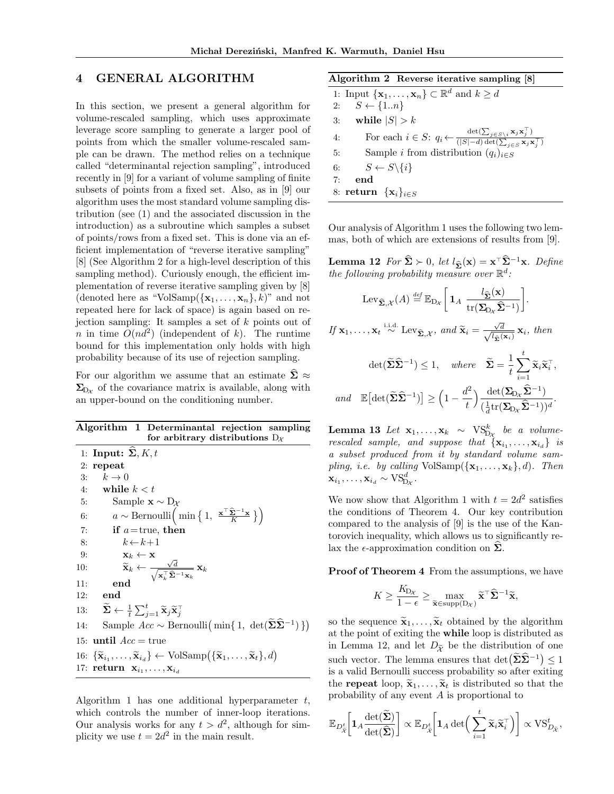### 4 GENERAL ALGORITHM

In this section, we present a general algorithm for volume-rescaled sampling, which uses approximate leverage score sampling to generate a larger pool of points from which the smaller volume-rescaled sample can be drawn. The method relies on a technique called "determinantal rejection sampling", introduced recently in [9] for a variant of volume sampling of finite subsets of points from a fixed set. Also, as in [9] our algorithm uses the most standard volume sampling distribution (see (1) and the associated discussion in the introduction) as a subroutine which samples a subset of points/rows from a fixed set. This is done via an efficient implementation of "reverse iterative sampling" [8] (See Algorithm 2 for a high-level description of this sampling method). Curiously enough, the efficient implementation of reverse iterative sampling given by [8] (denoted here as "VolSamp $({x_1, \ldots, x_n}, k)$ " and not repeated here for lack of space) is again based on rejection sampling: It samples a set of *k* points out of *n* in time  $O(nd^2)$  (independent of *k*). The runtime bound for this implementation only holds with high probability because of its use of rejection sampling.

For our algorithm we assume that an estimate  $\Sigma \approx$  $\Sigma_{D_x}$  of the covariance matrix is available, along with an upper-bound on the conditioning number.

| Algorithm 1 Determinantal rejection sampling<br>for arbitrary distributions $D_{\mathcal{X}}$                                                                       |
|---------------------------------------------------------------------------------------------------------------------------------------------------------------------|
| 1: Input: $\Sigma, K, t$                                                                                                                                            |
| $2:$ repeat                                                                                                                                                         |
| $k\to 0$<br>3:                                                                                                                                                      |
| 4: while $k < t$                                                                                                                                                    |
| Sample $\mathbf{x} \sim D_{\mathcal{X}}$<br>5:                                                                                                                      |
| $a \sim \text{Bernoulli}\left(\min\left\{1, \frac{\mathbf{x}^\top \hat{\mathbf{\Sigma}}^{-1} \mathbf{x}}{K}\right\}\right)$<br>6:                                   |
| 7:<br>if $a$ =true, then                                                                                                                                            |
| $k \leftarrow k+1$<br>8:                                                                                                                                            |
| 9:<br>$\mathbf{x}_k \leftarrow \mathbf{x}$                                                                                                                          |
| $\widetilde{\mathbf{x}}_k \leftarrow \frac{\sqrt{d}}{\sqrt{\mathbf{x}_k^{\top} \widehat{\mathbf{\Sigma}}^{-1} \mathbf{x}_k}} \mathbf{x}_k$<br>10:                   |
| end<br>11:                                                                                                                                                          |
| end<br>12:                                                                                                                                                          |
| 13: $\widetilde{\mathbf{\Sigma}} \leftarrow \frac{1}{t} \sum_{i=1}^{t} \widetilde{\mathbf{x}}_j \widetilde{\mathbf{x}}_i^{\top}$                                    |
| Sample $Acc \sim \text{Bernoulli}\left(\min\{1, \det(\tilde{\Sigma}\hat{\Sigma}^{-1})\}\right)$<br>14:                                                              |
| 15: <b>until</b> $Acc = true$                                                                                                                                       |
| 16: $\{\widetilde{\mathbf{x}}_{i_1},\ldots,\widetilde{\mathbf{x}}_{i_d}\}\leftarrow \text{VolSamp}(\{\widetilde{\mathbf{x}}_1,\ldots,\widetilde{\mathbf{x}}_t\},d)$ |
| 17: return $\mathbf{x}_{i_1}, \ldots, \mathbf{x}_{i_d}$                                                                                                             |

Algorithm 1 has one additional hyperparameter *t*, which controls the number of inner-loop iterations. Our analysis works for any  $t>d^2$ , although for simplicity we use  $t = 2d^2$  in the main result.

| Algorithm 2 Reverse iterative sampling [8] |  |  |  |  |
|--------------------------------------------|--|--|--|--|
|--------------------------------------------|--|--|--|--|

| 1: Input $\{\mathbf{x}_1,\ldots,\mathbf{x}_n\}\subset\mathbb{R}^d$ and $k\geq d$                                                                                                    |
|-------------------------------------------------------------------------------------------------------------------------------------------------------------------------------------|
| 2: $S \leftarrow \{1n\}$                                                                                                                                                            |
| 3: while $ S  > k$                                                                                                                                                                  |
| For each $i \in S$ : $q_i \leftarrow \frac{\det(\sum_{j \in S \setminus i} \mathbf{x}_j \mathbf{x}_j^{\top})}{( S -d) \det(\sum_{j \in S} \mathbf{x}_j \mathbf{x}_j^{\top})}$<br>4: |
| Sample <i>i</i> from distribution $(q_i)_{i \in S}$<br>5:                                                                                                                           |
| 6: $S \leftarrow S \setminus \{i\}$                                                                                                                                                 |
| end<br>7:                                                                                                                                                                           |
| 8: return $\{x_i\}_{i \in S}$                                                                                                                                                       |

Our analysis of Algorithm 1 uses the following two lemmas, both of which are extensions of results from [9].

**Lemma 12** For  $\hat{\Sigma} \succ 0$ , let  $l_{\hat{\Sigma}}(\mathbf{x}) = \mathbf{x}^{\top} \hat{\Sigma}^{-1} \mathbf{x}$ . Define *the following probability measure over*  $\mathbb{R}^d$ *:* 

$$
\operatorname{Lev}_{\widehat{\Sigma},\mathcal{X}}(A) \stackrel{\text{def}}{=} \mathbb{E}_{D_{\mathcal{X}}} \left[ \mathbf{1}_A \frac{l_{\widehat{\Sigma}}(\mathbf{x})}{\operatorname{tr}(\Sigma_{D_{\mathcal{X}}}\widehat{\Sigma}^{-1})} \right].
$$
\n
$$
\text{If } \mathbf{x}_1, \dots, \mathbf{x}_t \stackrel{\text{i.i.d.}}{\sim} \operatorname{Lev}_{\widehat{\Sigma},\mathcal{X}}, \text{ and } \widetilde{\mathbf{x}}_i = \frac{\sqrt{d}}{\sqrt{l_{\widehat{\Sigma}}(\mathbf{x}_i)}} \mathbf{x}_i, \text{ then}
$$
\n
$$
\operatorname{det}(\widetilde{\Sigma}\widehat{\Sigma}^{-1}) \le 1, \quad \text{where} \quad \widetilde{\Sigma} = \frac{1}{t} \sum_{i=1}^t \widetilde{\mathbf{x}}_i \widetilde{\mathbf{x}}_i^\top,
$$
\n
$$
\text{and} \quad \mathbb{E} \left[ \operatorname{det}(\widetilde{\Sigma}\widehat{\Sigma}^{-1}) \right] \ge \left( 1 - \frac{d^2}{t} \right) \frac{\operatorname{det}(\Sigma_{D_{\mathcal{X}}}\widehat{\Sigma}^{-1})}{\left( \frac{1}{d} \operatorname{tr}(\Sigma_{D_{\mathcal{X}}}\widehat{\Sigma}^{-1}) \right)^d}.
$$

 $\textbf{Lemma 13} \ \textit{Let} \ \ \mathbf{x}_1, \ldots, \mathbf{x}_k \ \sim \ \text{VS}^k_{\text{D}_\mathcal{X}} \ \ \textit{be} \ \ \textit{a} \ \ \textit{volume-}$ *rescaled sample, and suppose that*  $\{x_{i_1}, \ldots, x_{i_d}\}$  *is a subset produced from it by standard volume sampling, i.e. by calling*  $VolSample({\bf x}_1, \ldots, {\bf x}_k)$ *, d). Then*  $\mathbf{x}_{i_1}, \ldots, \mathbf{x}_{i_d} \sim \text{VS}_{\text{D}_\mathcal{X}}^d$ .

We now show that Algorithm 1 with  $t = 2d^2$  satisfies the conditions of Theorem 4. Our key contribution compared to the analysis of [9] is the use of the Kantorovich inequality, which allows us to significantly relax the  $\epsilon$ -approximation condition on  $\Sigma$ .

Proof of Theorem 4 From the assumptions, we have

$$
K \ge \frac{K_{\mathcal{D}_{\mathcal{X}}}}{1 - \epsilon} \ge \max_{\widetilde{\mathbf{x}} \in \text{supp}(\mathcal{D}_{\mathcal{X}})} \widetilde{\mathbf{x}}^{\top} \widehat{\mathbf{\Sigma}}^{-1} \widetilde{\mathbf{x}},
$$

so the sequence  $\widetilde{\mathbf{x}}_1, \ldots, \widetilde{\mathbf{x}}_t$  obtained by the algorithm at the point of exiting the while loop is distributed as in Lemma 12, and let  $D_{\tilde{\chi}}$  be the distribution of one such vector. The lemma ensures that  $\det(\tilde{\Sigma}\hat{\Sigma}^{-1}) \leq 1$ is a valid Bernoulli success probability so after exiting the **repeat** loop,  $\tilde{\mathbf{x}}_1, \ldots, \tilde{\mathbf{x}}_t$  is distributed so that the probability of any event *A* is proportional to

$$
\mathbb{E}_{D_{\tilde{\mathcal{X}}}^t} \bigg[ \mathbf{1}_A \frac{\det(\tilde{\mathbf{\Sigma}})}{\det(\hat{\mathbf{\Sigma}})} \bigg] \propto \mathbb{E}_{D_{\tilde{\mathcal{X}}}^t} \bigg[ \mathbf{1}_A \det \bigg( \sum_{i=1}^t \tilde{\mathbf{x}}_i \tilde{\mathbf{x}}_i^{\top} \bigg) \bigg] \propto \text{VS}_{D_{\tilde{\mathcal{X}}}^t}^t,
$$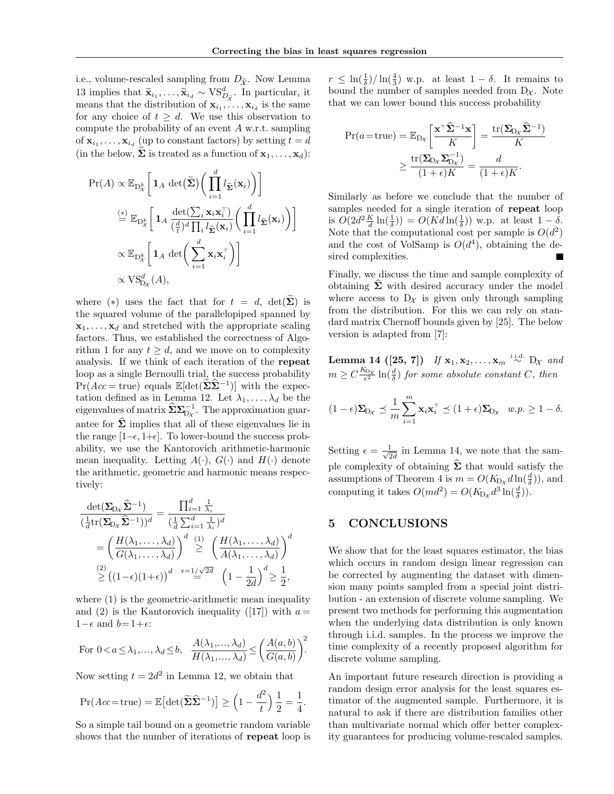i.e., volume-rescaled sampling from  $D_{\tilde{\chi}}$ . Now Lemma 13 implies that  $\widetilde{\mathbf{x}}_{i_1}, \ldots, \widetilde{\mathbf{x}}_{i_d} \sim \text{VS}_{D_{\widetilde{\mathcal{X}}}}^d$ . In particular, it means that the distribution of  $\mathbf{x}_{i_1}, \ldots, \mathbf{x}_{i_d}$  is the same for any choice of  $t \geq d$ . We use this observation to compute the probability of an event *A* w.r.t. sampling of  $\mathbf{x}_{i_1}, \ldots, \mathbf{x}_{i_d}$  (up to constant factors) by setting  $t = d$ (in the below,  $\Sigma$  is treated as a function of  $\mathbf{x}_1, \ldots, \mathbf{x}_d$ ):

$$
\Pr(A) \propto \mathbb{E}_{\mathcal{D}_{\mathcal{X}}^{k}} \left[ \mathbf{1}_{A} \det(\tilde{\mathbf{\Sigma}}) \left( \prod_{i=1}^{d} l_{\hat{\mathbf{\Sigma}}}(\mathbf{x}_{i}) \right) \right]
$$

$$
\stackrel{\text{(*)}}{=} \mathbb{E}_{\mathcal{D}_{\mathcal{X}}^{k}} \left[ \mathbf{1}_{A} \frac{\det(\sum_{i} \mathbf{x}_{i} \mathbf{x}_{i}^{\top})}{(\frac{d}{t})^{d} \prod_{i} l_{\hat{\mathbf{\Sigma}}}(\mathbf{x}_{i})} \left( \prod_{i=1}^{d} l_{\hat{\mathbf{\Sigma}}}(\mathbf{x}_{i}) \right) \right]
$$

$$
\propto \mathbb{E}_{\mathcal{D}_{\mathcal{X}}^{k}} \left[ \mathbf{1}_{A} \det \left( \sum_{i=1}^{d} \mathbf{x}_{i} \mathbf{x}_{i}^{\top} \right) \right]
$$

$$
\propto \text{VS}_{\mathcal{D}_{\mathcal{X}}}^{d}(A),
$$

where (\*) uses the fact that for  $t = d$ ,  $det(\Sigma)$  is the squared volume of the parallelopiped spanned by  $x_1, \ldots, x_d$  and stretched with the appropriate scaling factors. Thus, we established the correctness of Algorithm 1 for any  $t \geq d$ , and we move on to complexity analysis. If we think of each iteration of the repeat loop as a single Bernoulli trial, the success probability  $Pr(Acc = true)$  equals  $\mathbb{E}[\det(\tilde{\Sigma}\tilde{\Sigma}^{-1})]$  with the expectation defined as in Lemma 12. Let  $\lambda_1, \ldots, \lambda_d$  be the eigenvalues of matrix  $\widehat{\Sigma}\Sigma_{D_{\mathcal{X}}}^{-1}$ . The approximation guarantee for  $\hat{\Sigma}$  implies that all of these eigenvalues lie in the range  $[1-\epsilon, 1+\epsilon]$ . To lower-bound the success probability, we use the Kantorovich arithmetic-harmonic mean inequality. Letting  $A(\cdot)$ ,  $G(\cdot)$  and  $H(\cdot)$  denote the arithmetic, geometric and harmonic means respectively:

$$
\frac{\det(\mathbf{\Sigma}_{D_{\mathcal{X}}}\hat{\mathbf{\Sigma}}^{-1})}{(\frac{1}{d}\mathrm{tr}(\mathbf{\Sigma}_{D_{\mathcal{X}}}\hat{\mathbf{\Sigma}}^{-1}))^{d}} = \frac{\prod_{i=1}^{d} \frac{1}{\lambda_{i}}}{(\frac{1}{d}\sum_{i=1}^{d} \frac{1}{\lambda_{i}})^{d}}
$$

$$
= \left(\frac{H(\lambda_{1},\ldots,\lambda_{d})}{G(\lambda_{1},\ldots,\lambda_{d})}\right)^{d} \stackrel{(1)}{\geq} \left(\frac{H(\lambda_{1},\ldots,\lambda_{d})}{A(\lambda_{1},\ldots,\lambda_{d})}\right)^{d}
$$

$$
\stackrel{(2)}{\geq} \left((1-\epsilon)(1+\epsilon)\right)^{d} \stackrel{\epsilon=1/\sqrt{2d}}{\leq} \left(1-\frac{1}{2d}\right)^{d} \geq \frac{1}{2},
$$

where  $(1)$  is the geometric-arithmetic mean inequality and (2) is the Kantorovich inequality ([17]) with  $a =$  $1-\epsilon$  and  $b=1+\epsilon$ :

For 
$$
0 < a \le \lambda_1, ..., \lambda_d \le b
$$
,  $\frac{A(\lambda_1, ..., \lambda_d)}{H(\lambda_1, ..., \lambda_d)} \le \left(\frac{A(a, b)}{G(a, b)}\right)^2$ .

Now setting  $t = 2d^2$  in Lemma 12, we obtain that

$$
\Pr(Acc = \text{true}) = \mathbb{E}\big[\det(\widetilde{\Sigma}\widehat{\Sigma}^{-1})\big] \ge \left(1 - \frac{d^2}{t}\right)\frac{1}{2} = \frac{1}{4}.
$$

So a simple tail bound on a geometric random variable shows that the number of iterations of repeat loop is

 $r \leq \ln(\frac{1}{\delta})/\ln(\frac{4}{3})$  w.p. at least  $1-\delta$ . It remains to bound the number of samples needed from  $D_{\mathcal{X}}$ . Note that we can lower bound this success probability

$$
\Pr(a = \text{true}) = \mathbb{E}_{\text{D}_X} \left[ \frac{\mathbf{x}^\top \hat{\Sigma}^{-1} \mathbf{x}}{K} \right] = \frac{\text{tr}(\Sigma_{\text{D}_X} \hat{\Sigma}^{-1})}{K}
$$

$$
\geq \frac{\text{tr}(\Sigma_{\text{D}_X} \Sigma_{\text{D}_X}^{-1})}{(1 + \epsilon)K} = \frac{d}{(1 + \epsilon)K}.
$$

Similarly as before we conclude that the number of samples needed for a single iteration of repeat loop is  $O(2d^2 \frac{K}{d} \ln(\frac{1}{\delta})) = O(Kd \ln(\frac{1}{\delta}))$  w.p. at least  $1 - \delta$ . Note that the computational cost per sample is  $O(d^2)$ and the cost of VolSamp is  $O(d^4)$ , obtaining the desired complexities.

Finally, we discuss the time and sample complexity of obtaining  $\Sigma$  with desired accuracy under the model where access to  $D_{\mathcal{X}}$  is given only through sampling from the distribution. For this we can rely on standard matrix Chernoff bounds given by [25]. The below version is adapted from [7]:

Lemma 14 ([25, 7]) If  $\mathbf{x}_1, \mathbf{x}_2, \ldots, \mathbf{x}_m \stackrel{\text{i.i.d.}}{\sim} D_{\mathcal{X}}$  and  $m \geq C \frac{K_{\text{D}_{\mathcal{X}}}}{\epsilon^2} \ln(\frac{d}{\delta})$  *for some absolute constant C, then* 

$$
(1 - \epsilon)\Sigma_{\mathcal{D}_{\mathcal{X}}} \preceq \frac{1}{m} \sum_{i=1}^{m} \mathbf{x}_i \mathbf{x}_i^{\top} \preceq (1 + \epsilon) \Sigma_{\mathcal{D}_{\mathcal{X}}} \quad w.p. \ge 1 - \delta.
$$

Setting  $\epsilon = \frac{1}{\sqrt{2d}}$  in Lemma 14, we note that the sample complexity of obtaining  $\hat{\Sigma}$  that would satisfy the assumptions of Theorem 4 is  $m = O(K_{Dx} d \ln(\frac{d}{\delta}))$ , and computing it takes  $O(md^2) = O(K_{D_X} d^3 \ln(\frac{d}{\delta}))$ .

## 5 CONCLUSIONS

We show that for the least squares estimator, the bias which occurs in random design linear regression can be corrected by augmenting the dataset with dimension many points sampled from a special joint distribution - an extension of discrete volume sampling. We present two methods for performing this augmentation when the underlying data distribution is only known through i.i.d. samples. In the process we improve the time complexity of a recently proposed algorithm for discrete volume sampling.

An important future research direction is providing a random design error analysis for the least squares estimator of the augmented sample. Furthermore, it is natural to ask if there are distribution families other than multivariate normal which offer better complexity guarantees for producing volume-rescaled samples.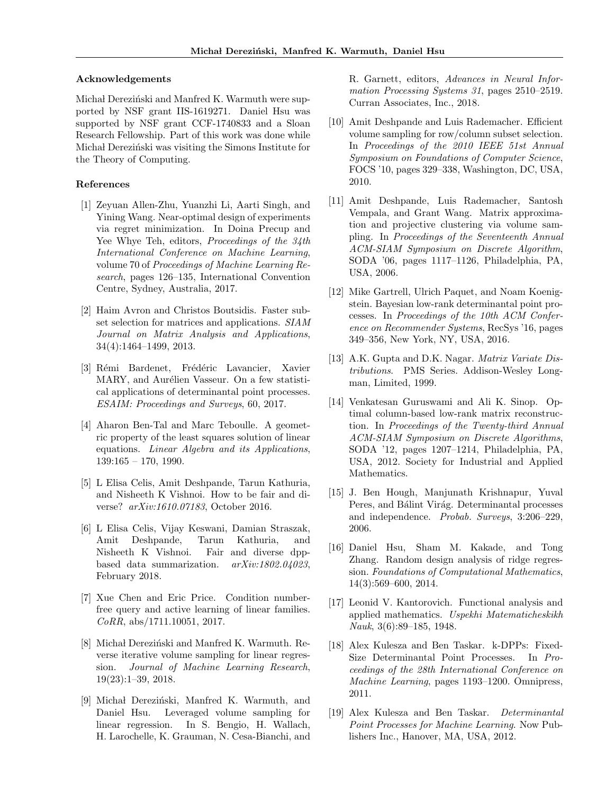#### Acknowledgements

Michał Dereziński and Manfred K. Warmuth were supported by NSF grant IIS-1619271. Daniel Hsu was supported by NSF grant CCF-1740833 and a Sloan Research Fellowship. Part of this work was done while Michal Derezinski was visiting the Simons Institute for the Theory of Computing.

### References

- [1] Zeyuan Allen-Zhu, Yuanzhi Li, Aarti Singh, and Yining Wang. Near-optimal design of experiments via regret minimization. In Doina Precup and Yee Whye Teh, editors, *Proceedings of the 34th International Conference on Machine Learning*, volume 70 of *Proceedings of Machine Learning Research*, pages 126–135, International Convention Centre, Sydney, Australia, 2017.
- [2] Haim Avron and Christos Boutsidis. Faster subset selection for matrices and applications. *SIAM Journal on Matrix Analysis and Applications*, 34(4):1464–1499, 2013.
- [3] Rémi Bardenet, Frédéric Lavancier, Xavier MARY, and Aurélien Vasseur. On a few statistical applications of determinantal point processes. *ESAIM: Proceedings and Surveys*, 60, 2017.
- [4] Aharon Ben-Tal and Marc Teboulle. A geometric property of the least squares solution of linear equations. *Linear Algebra and its Applications*, 139:165 – 170, 1990.
- [5] L Elisa Celis, Amit Deshpande, Tarun Kathuria, and Nisheeth K Vishnoi. How to be fair and diverse? *arXiv:1610.07183*, October 2016.
- [6] L Elisa Celis, Vijay Keswani, Damian Straszak, Amit Deshpande, Tarun Kathuria, and Nisheeth K Vishnoi. Fair and diverse dppbased data summarization. *arXiv:1802.04023*, February 2018.
- [7] Xue Chen and Eric Price. Condition numberfree query and active learning of linear families. *CoRR*, abs/1711.10051, 2017.
- [8] Michal Dereziński and Manfred K. Warmuth. Reverse iterative volume sampling for linear regression. *Journal of Machine Learning Research*, 19(23):1–39, 2018.
- [9] Michał Dereziński, Manfred K. Warmuth, and Daniel Hsu. Leveraged volume sampling for linear regression. In S. Bengio, H. Wallach, H. Larochelle, K. Grauman, N. Cesa-Bianchi, and

R. Garnett, editors, *Advances in Neural Information Processing Systems 31*, pages 2510–2519. Curran Associates, Inc., 2018.

- [10] Amit Deshpande and Luis Rademacher. Efficient volume sampling for row/column subset selection. In *Proceedings of the 2010 IEEE 51st Annual Symposium on Foundations of Computer Science*, FOCS '10, pages 329–338, Washington, DC, USA, 2010.
- [11] Amit Deshpande, Luis Rademacher, Santosh Vempala, and Grant Wang. Matrix approximation and projective clustering via volume sampling. In *Proceedings of the Seventeenth Annual ACM-SIAM Symposium on Discrete Algorithm*, SODA '06, pages 1117–1126, Philadelphia, PA, USA, 2006.
- [12] Mike Gartrell, Ulrich Paquet, and Noam Koenigstein. Bayesian low-rank determinantal point processes. In *Proceedings of the 10th ACM Conference on Recommender Systems*, RecSys '16, pages 349–356, New York, NY, USA, 2016.
- [13] A.K. Gupta and D.K. Nagar. *Matrix Variate Distributions*. PMS Series. Addison-Wesley Longman, Limited, 1999.
- [14] Venkatesan Guruswami and Ali K. Sinop. Optimal column-based low-rank matrix reconstruction. In *Proceedings of the Twenty-third Annual ACM-SIAM Symposium on Discrete Algorithms*, SODA '12, pages 1207–1214, Philadelphia, PA, USA, 2012. Society for Industrial and Applied Mathematics.
- [15] J. Ben Hough, Manjunath Krishnapur, Yuval Peres, and Bálint Virág. Determinantal processes and independence. *Probab. Surveys*, 3:206–229, 2006.
- [16] Daniel Hsu, Sham M. Kakade, and Tong Zhang. Random design analysis of ridge regression. *Foundations of Computational Mathematics*, 14(3):569–600, 2014.
- [17] Leonid V. Kantorovich. Functional analysis and applied mathematics. *Uspekhi Matematicheskikh Nauk*, 3(6):89–185, 1948.
- [18] Alex Kulesza and Ben Taskar. k-DPPs: Fixed-Size Determinantal Point Processes. In *Proceedings of the 28th International Conference on Machine Learning*, pages 1193–1200. Omnipress, 2011.
- [19] Alex Kulesza and Ben Taskar. *Determinantal Point Processes for Machine Learning*. Now Publishers Inc., Hanover, MA, USA, 2012.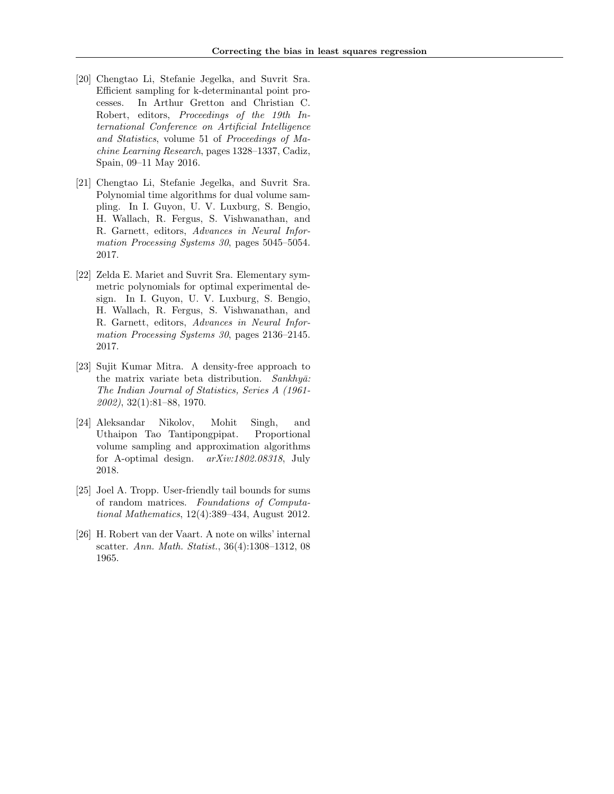- [20] Chengtao Li, Stefanie Jegelka, and Suvrit Sra. Efficient sampling for k-determinantal point processes. In Arthur Gretton and Christian C. Robert, editors, *Proceedings of the 19th International Conference on Artificial Intelligence and Statistics*, volume 51 of *Proceedings of Machine Learning Research*, pages 1328–1337, Cadiz, Spain, 09–11 May 2016.
- [21] Chengtao Li, Stefanie Jegelka, and Suvrit Sra. Polynomial time algorithms for dual volume sampling. In I. Guyon, U. V. Luxburg, S. Bengio, H. Wallach, R. Fergus, S. Vishwanathan, and R. Garnett, editors, *Advances in Neural Information Processing Systems 30*, pages 5045–5054. 2017.
- [22] Zelda E. Mariet and Suvrit Sra. Elementary symmetric polynomials for optimal experimental design. In I. Guyon, U. V. Luxburg, S. Bengio, H. Wallach, R. Fergus, S. Vishwanathan, and R. Garnett, editors, *Advances in Neural Information Processing Systems 30*, pages 2136–2145. 2017.
- [23] Sujit Kumar Mitra. A density-free approach to the matrix variate beta distribution. *Sankhyā*: *The Indian Journal of Statistics, Series A (1961- 2002)*, 32(1):81–88, 1970.
- [24] Aleksandar Nikolov, Mohit Singh, and Uthaipon Tao Tantipongpipat. Proportional volume sampling and approximation algorithms for A-optimal design. *arXiv:1802.08318*, July 2018.
- [25] Joel A. Tropp. User-friendly tail bounds for sums of random matrices. *Foundations of Computational Mathematics*, 12(4):389–434, August 2012.
- [26] H. Robert van der Vaart. A note on wilks' internal scatter. *Ann. Math. Statist.*, 36(4):1308–1312, 08 1965.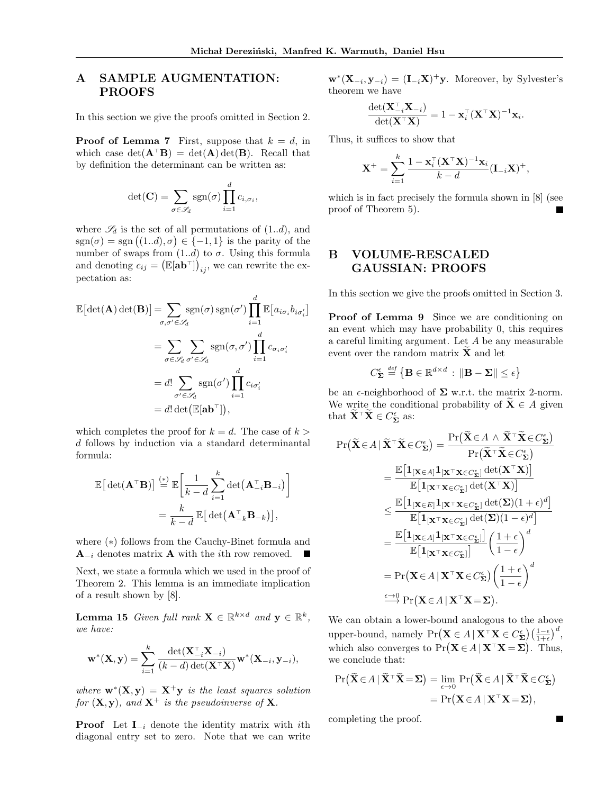## A SAMPLE AUGMENTATION: PROOFS

In this section we give the proofs omitted in Section 2.

**Proof of Lemma 7** First, suppose that  $k = d$ , in which case  $det(\mathbf{A}^{\top} \mathbf{B}) = det(\mathbf{A}) det(\mathbf{B})$ . Recall that by definition the determinant can be written as:

$$
\det(\mathbf{C}) = \sum_{\sigma \in \mathscr{S}_d} \operatorname{sgn}(\sigma) \prod_{i=1}^d c_{i,\sigma_i},
$$

where  $\mathscr{S}_d$  is the set of all permutations of  $(1..d)$ , and  $sgn(\sigma) = sgn((1..d), \sigma) \in \{-1, 1\}$  is the parity of the number of swaps from  $(1..d)$  to  $\sigma$ . Using this formula and denoting  $c_{ij} = (\mathbb{E}[\mathbf{a} \mathbf{b}^{\top}])_{ij}$ , we can rewrite the expectation as:

$$
\mathbb{E}[\det(\mathbf{A}) \det(\mathbf{B})] = \sum_{\sigma, \sigma' \in \mathscr{S}_d} \text{sgn}(\sigma) \text{ sgn}(\sigma') \prod_{i=1}^d \mathbb{E}[a_{i\sigma_i} b_{i\sigma'_i}]
$$

$$
= \sum_{\sigma \in \mathscr{S}_d} \sum_{\sigma' \in \mathscr{S}_d} \text{sgn}(\sigma, \sigma') \prod_{i=1}^d c_{\sigma_i \sigma'_i}
$$

$$
= d! \sum_{\sigma' \in \mathscr{S}_d} \text{sgn}(\sigma') \prod_{i=1}^d c_{i\sigma'_i}
$$

$$
= d! \det(\mathbb{E}[\mathbf{a} \mathbf{b}^\top]),
$$

which completes the proof for  $k = d$ . The case of  $k >$ *d* follows by induction via a standard determinantal formula:

$$
\mathbb{E}\left[\det(\mathbf{A}^\top \mathbf{B})\right] \stackrel{(*)}{=} \mathbb{E}\left[\frac{1}{k-d} \sum_{i=1}^k \det(\mathbf{A}_{-i}^\top \mathbf{B}_{-i})\right]
$$

$$
= \frac{k}{k-d} \mathbb{E}\left[\det(\mathbf{A}_{-k}^\top \mathbf{B}_{-k})\right],
$$

where  $(*)$  follows from the Cauchy-Binet formula and  $\mathbf{A}_{-i}$  denotes matrix **A** with the *i*th row removed.

Next, we state a formula which we used in the proof of Theorem 2. This lemma is an immediate implication of a result shown by [8].

**Lemma 15** *Given full rank*  $\mathbf{X} \in \mathbb{R}^{k \times d}$  *and*  $\mathbf{y} \in \mathbb{R}^{k}$ *, we have:*

$$
\mathbf{w}^*(\mathbf{X}, \mathbf{y}) = \sum_{i=1}^k \frac{\det(\mathbf{X}_{-i}^{\top} \mathbf{X}_{-i})}{(k - d) \det(\mathbf{X}^{\top} \mathbf{X})} \mathbf{w}^*(\mathbf{X}_{-i}, \mathbf{y}_{-i}),
$$

*where*  $\mathbf{w}^*(\mathbf{X}, \mathbf{y}) = \mathbf{X}^+ \mathbf{y}$  *is the least squares solution for*  $(X, y)$ *, and*  $X^+$  *is the pseudoinverse of* X*.* 

**Proof** Let  $I_{-i}$  denote the identity matrix with *i*th diagonal entry set to zero. Note that we can write

 $\mathbf{w}^*(\mathbf{X}_{-i}, \mathbf{y}_{-i}) = (\mathbf{I}_{-i}\mathbf{X})^+ \mathbf{y}$ . Moreover, by Sylvester's theorem we have

$$
\frac{\det(\mathbf{X}_{-i}^\top \mathbf{X}_{-i})}{\det(\mathbf{X}^\top \mathbf{X})} = 1 - \mathbf{x}_i^\top (\mathbf{X}^\top \mathbf{X})^{-1} \mathbf{x}_i.
$$

Thus, it suffices to show that

$$
\mathbf{X}^+ = \sum_{i=1}^k \frac{1 - \mathbf{x}_i^{\top} (\mathbf{X}^{\top} \mathbf{X})^{-1} \mathbf{x}_i}{k - d} (\mathbf{I}_{-i} \mathbf{X})^+,
$$

which is in fact precisely the formula shown in [8] (see proof of Theorem 5).

## B VOLUME-RESCALED GAUSSIAN: PROOFS

In this section we give the proofs omitted in Section 3.

Proof of Lemma 9 Since we are conditioning on an event which may have probability 0, this requires a careful limiting argument. Let *A* be any measurable event over the random matrix  $\widetilde{\mathbf{X}}$  and let

$$
C_{\mathbf{\Sigma}}^{\epsilon} \stackrel{\text{def}}{=} \left\{ \mathbf{B} \in \mathbb{R}^{d \times d} \, : \, \|\mathbf{B} - \mathbf{\Sigma}\| \leq \epsilon \right\}
$$

be an  $\epsilon$ -neighborhood of  $\Sigma$  w.r.t. the matrix 2-norm. We write the conditional probability of  $X \in A$  given that  $\mathbf{X}^{\top} \mathbf{X} \in C_{\Sigma}^{\epsilon}$  as:

$$
\Pr(\widetilde{\mathbf{X}} \in A \mid \widetilde{\mathbf{X}}^{\top} \widetilde{\mathbf{X}} \in C_{\Sigma}^{\epsilon}) = \frac{\Pr(\widetilde{\mathbf{X}} \in A \land \widetilde{\mathbf{X}}^{\top} \widetilde{\mathbf{X}} \in C_{\Sigma}^{\epsilon})}{\Pr(\widetilde{\mathbf{X}}^{\top} \widetilde{\mathbf{X}} \in C_{\Sigma}^{\epsilon})}
$$
\n
$$
= \frac{\mathbb{E}[\mathbf{1}_{[\mathbf{X} \in A]} \mathbf{1}_{[\mathbf{X}^{\top} \mathbf{X} \in C_{\Sigma}^{\epsilon}]} \det(\mathbf{X}^{\top} \mathbf{X})]}{\mathbb{E}[\mathbf{1}_{[\mathbf{X}^{\top} \mathbf{X} \in C_{\Sigma}^{\epsilon}]} \det(\mathbf{X}^{\top} \mathbf{X})]}
$$
\n
$$
\leq \frac{\mathbb{E}[\mathbf{1}_{[\mathbf{X} \in E]} \mathbf{1}_{[\mathbf{X}^{\top} \mathbf{X} \in C_{\Sigma}^{\epsilon}]} \det(\mathbf{\Sigma})(1 + \epsilon)^{d}]}{\mathbb{E}[\mathbf{1}_{[\mathbf{X}^{\top} \mathbf{X} \in C_{\Sigma}^{\epsilon}]} \det(\mathbf{\Sigma})(1 - \epsilon)^{d}]}
$$
\n
$$
= \frac{\mathbb{E}[\mathbf{1}_{[\mathbf{X} \in A]} \mathbf{1}_{[\mathbf{X}^{\top} \mathbf{X} \in C_{\Sigma}^{\epsilon}]}]}{\mathbb{E}[\mathbf{1}_{[\mathbf{X}^{\top} \mathbf{X} \in C_{\Sigma}^{\epsilon}]}]} \left(\frac{1 + \epsilon}{1 - \epsilon}\right)^{d}
$$
\n
$$
= \Pr(\mathbf{X} \in A \mid \mathbf{X}^{\top} \mathbf{X} \in C_{\Sigma}^{\epsilon}) \left(\frac{1 + \epsilon}{1 - \epsilon}\right)^{d}
$$
\n
$$
\xrightarrow{\epsilon \to 0} \Pr(\mathbf{X} \in A \mid \mathbf{X}^{\top} \mathbf{X} = \Sigma).
$$

We can obtain a lower-bound analogous to the above upper-bound, namely  $Pr(\mathbf{X} \in A | \mathbf{X}^T \mathbf{X} \in C_{\Sigma}^{\epsilon}) \left(\frac{1-\epsilon}{1+\epsilon}\right)^d$ , which also converges to  $\Pr(\mathbf{X} \in A \mid \mathbf{X}^{\top} \mathbf{X} = \mathbf{\Sigma})$ . Thus, we conclude that:

$$
\Pr\left(\widetilde{\mathbf{X}}\in A \,|\, \widetilde{\mathbf{X}}^{\top}\widetilde{\mathbf{X}}=\mathbf{\Sigma}\right)=\lim_{\epsilon\to 0}\Pr\left(\widetilde{\mathbf{X}}\in A \,|\, \widetilde{\mathbf{X}}^{\top}\widetilde{\mathbf{X}}\in C_{\mathbf{\Sigma}}^{\epsilon}\right) \\
= \Pr\left(\mathbf{X}\in A \,|\, \mathbf{X}^{\top}\mathbf{X}=\mathbf{\Sigma}\right),
$$

completing the proof.

 $\blacksquare$